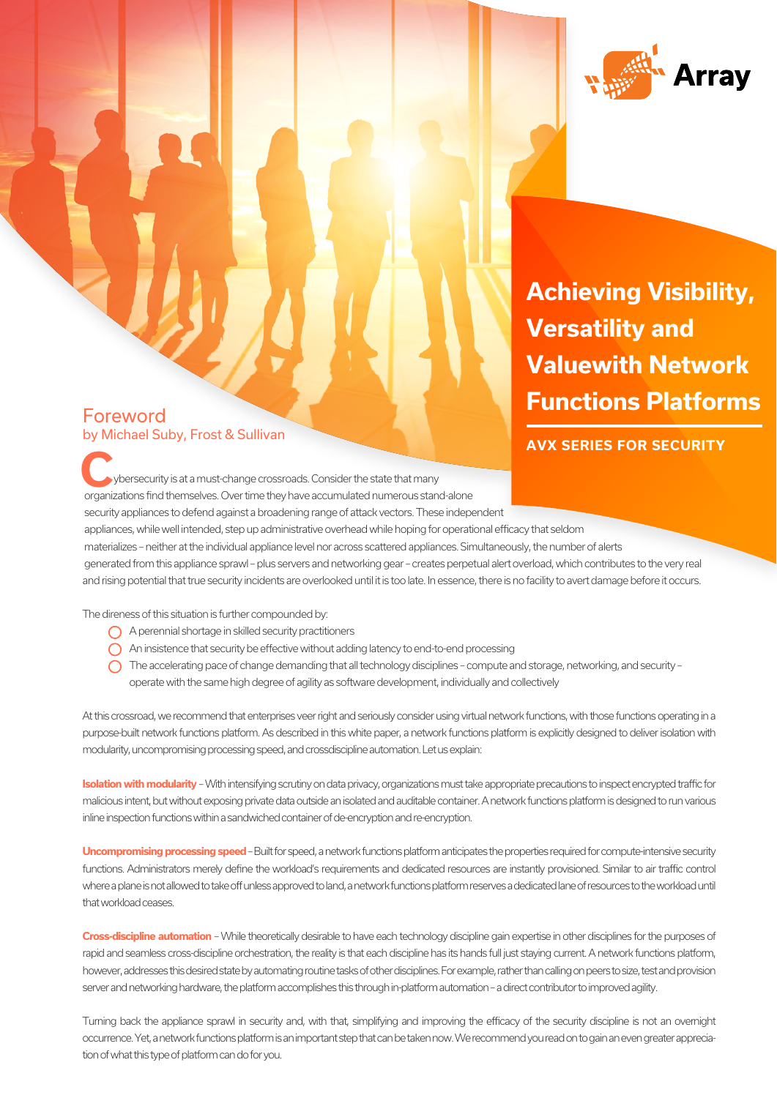

**Achieving Visibility, Achieving Visibility, Versatility and Versatility and Value with Network Valuewith Network Functions Platforms Functions Platforms**

### **AVX SERIES FOR SECURITY**

Foreword by Michael Suby, Frost & Sullivan

 ybersecurity is at a must-change crossroads. Consider the state that many organizations find themselves. Over time they have accumulated numerous stand-alone security appliances to defend against a broadening range of attack vectors. These independent appliances, while well intended, step up administrative overhead while hoping for operational efficacy that seldom materializes – neither at the individual appliance level nor across scattered appliances. Simultaneously, the number of alerts generated from this appliance sprawl – plus servers and networking gear – creates perpetual alert overload, which contributes to the very real and rising potential that true security incidents are overlooked until it is too late. In essence, there is no facility to avert damage before it occurs. **C C EXIES FOR SECURITY**<br> **C EXIES FOR SECURITY**<br> **C POSECURITY** 

The direness of this situation is further compounded by:

- A perennial shortage in skilled security practitioners
- An insistence that security be effective without adding latency to end-to-end processing
- $\bigcap$  The accelerating pace of change demanding that all technology disciplines compute and storage, networking, and security operate with the same high degree of agility as software development, individually and collectively

At this crossroad, we recommend that enterprises veer right and seriously consider using virtual network functions, with those functions operating in a purpose-built network functions platform. As described in this white paper, a network functions platform is explicitly designed to deliver isolation with modularity, uncompromising processing speed, and crossdiscipline automation. Let us explain:

**Isolation with modularity** – With intensifying scrutiny on data privacy, organizations must take appropriate precautions to inspect encrypted traffic for malicious intent, but without exposing private data outside an isolated and auditable container. A network functions platform is designed to run various inline inspection functions within a sandwiched container of de-encryption and re-encryption.

**Uncompromising processing speed** – Built for speed, a network functions platform anticipates the properties required for compute-intensive security functions. Administrators merely define the workload's requirements and dedicated resources are instantly provisioned. Similar to air traffic control where a plane is not allowed to take off unless approved to land, a network functions platform reserves a dedicated lane of resources to the workload until that workload ceases.

**Cross-discipline automation** – While theoretically desirable to have each technology discipline gain expertise in other disciplines for the purposes of rapid and seamless cross-discipline orchestration, the reality is that each discipline has its hands full just staying current. A network functions platform, however, addresses this desired state by automating routine tasks of other disciplines. For example, rather than calling on peers to size, test and provision server and networking hardware, the platform accomplishes this through in-platform automation – a direct contributor to improved agility.

Turning back the appliance sprawl in security and, with that, simplifying and improving the efficacy of the security discipline is not an overnight occurrence. Yet, a network functions platform is an important step that can be taken now. We recommend you read on to gain an even greater appreciation of what this type of platform can do for you.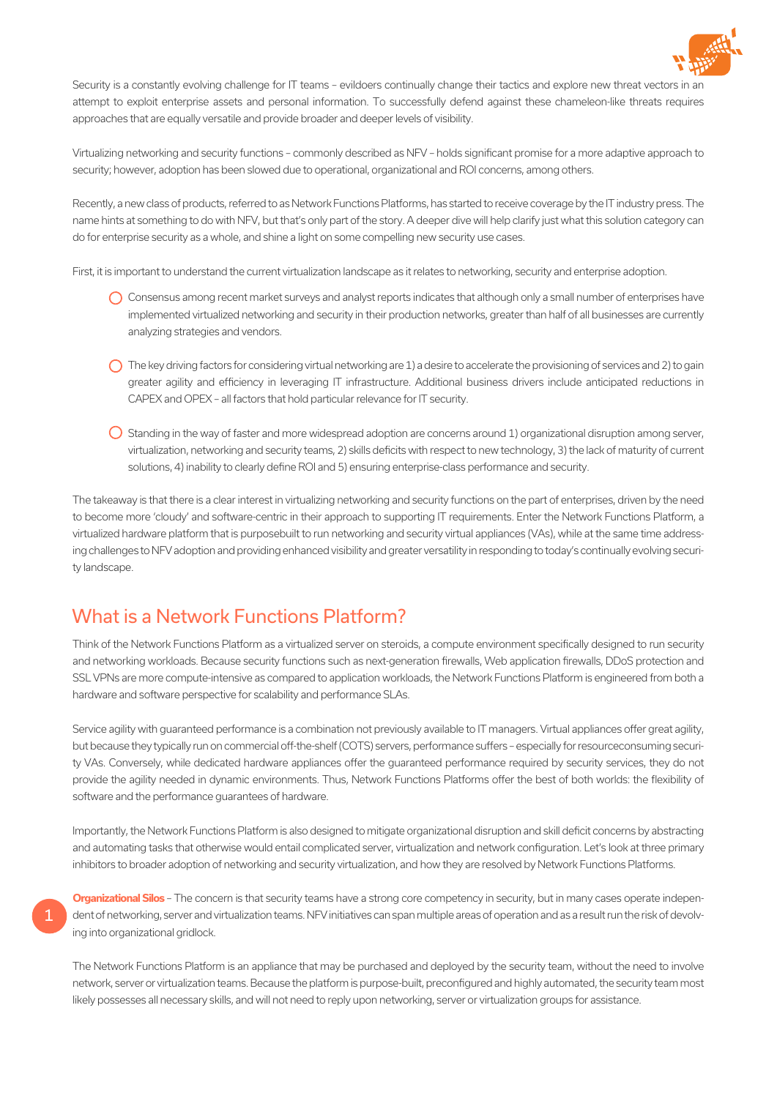

Security is a constantly evolving challenge for IT teams – evildoers continually change their tactics and explore new threat vectors in an attempt to exploit enterprise assets and personal information. To successfully defend against these chameleon-like threats requires approaches that are equally versatile and provide broader and deeper levels of visibility.

Virtualizing networking and security functions – commonly described as NFV – holds significant promise for a more adaptive approach to security; however, adoption has been slowed due to operational, organizational and ROI concerns, among others.

Recently, a new class of products, referred to as Network Functions Platforms, has started to receive coverage by the IT industry press. The name hints at something to do with NFV, but that's only part of the story. A deeper dive will help clarify just what this solution category can do for enterprise security as a whole, and shine a light on some compelling new security use cases.

First, it is important to understand the current virtualization landscape as it relates to networking, security and enterprise adoption.

- C Consensus among recent market surveys and analyst reports indicates that although only a small number of enterprises have implemented virtualized networking and security in their production networks, greater than half of all businesses are currently analyzing strategies and vendors.
- $\bigcap$  The key driving factors for considering virtual networking are 1) a desire to accelerate the provisioning of services and 2) to gain greater agility and efficiency in leveraging IT infrastructure. Additional business drivers include anticipated reductions in CAPEX and OPEX – all factors that hold particular relevance for IT security.
- $\bigcirc$  Standing in the way of faster and more widespread adoption are concerns around 1) organizational disruption among server, virtualization, networking and security teams, 2) skills deficits with respect to new technology, 3) the lack of maturity of current solutions, 4) inability to clearly define ROI and 5) ensuring enterprise-class performance and security.

The takeaway is that there is a clear interest in virtualizing networking and security functions on the part of enterprises, driven by the need to become more 'cloudy' and software-centric in their approach to supporting IT requirements. Enter the Network Functions Platform, a virtualized hardware platform that is purposebuilt to run networking and security virtual appliances (VAs), while at the same time addressing challenges to NFV adoption and providing enhanced visibility and greater versatility in responding to today's continually evolving security landscape.

# What is a Network Functions Platform?

Think of the Network Functions Platform as a virtualized server on steroids, a compute environment specifically designed to run security and networking workloads. Because security functions such as next-generation firewalls, Web application firewalls, DDoS protection and SSL VPNs are more compute-intensive as compared to application workloads, the Network Functions Platform is engineered from both a hardware and software perspective for scalability and performance SLAs.

Service agility with guaranteed performance is a combination not previously available to IT managers. Virtual appliances offer great agility, but because they typically run on commercial off-the-shelf (COTS) servers, performance suffers – especially for resourceconsuming security VAs. Conversely, while dedicated hardware appliances offer the guaranteed performance required by security services, they do not provide the agility needed in dynamic environments. Thus, Network Functions Platforms offer the best of both worlds: the flexibility of software and the performance guarantees of hardware.

Importantly, the Network Functions Platform is also designed to mitigate organizational disruption and skill deficit concerns by abstracting and automating tasks that otherwise would entail complicated server, virtualization and network configuration. Let's look at three primary inhibitors to broader adoption of networking and security virtualization, and how they are resolved by Network Functions Platforms.

1

**Organizational Silos** – The concern is that security teams have a strong core competency in security, but in many cases operate independent of networking, server and virtualization teams. NFV initiatives can span multiple areas of operation and as a result run the risk of devolving into organizational gridlock.

The Network Functions Platform is an appliance that may be purchased and deployed by the security team, without the need to involve network, server or virtualization teams. Because the platform is purpose-built, preconfigured and highly automated, the security team most likely possesses all necessary skills, and will not need to reply upon networking, server or virtualization groups for assistance.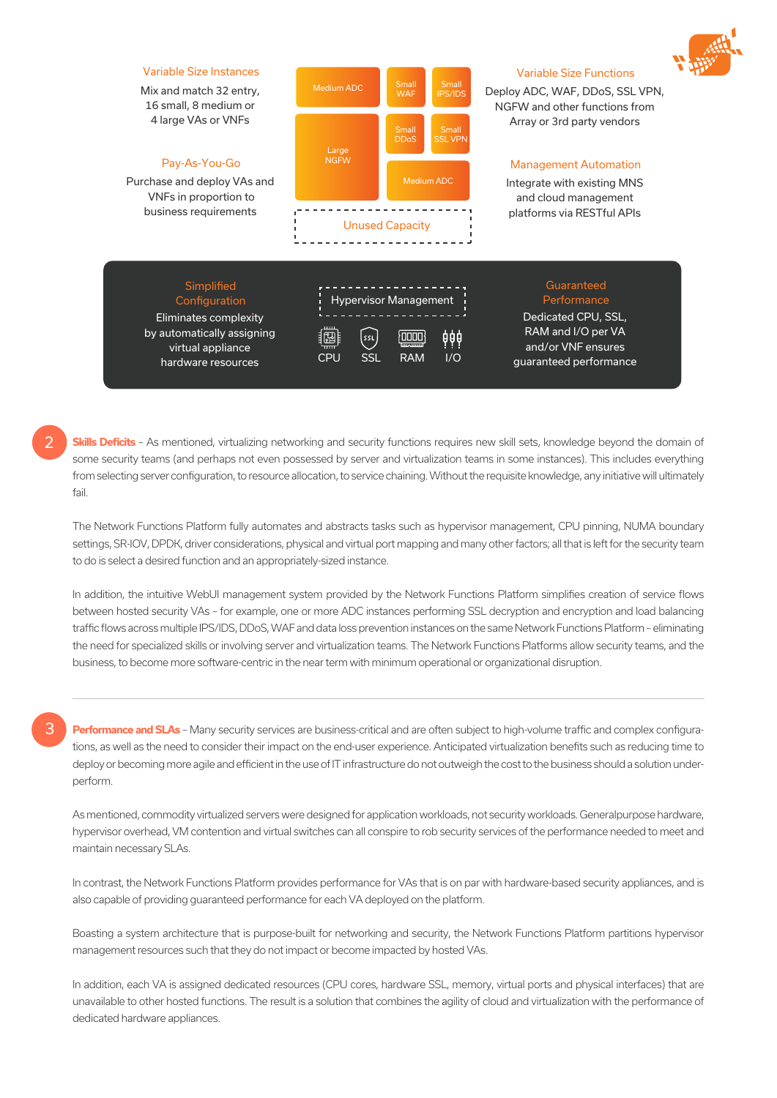

### Variable Size Instances

Mix and match 32 entry, 16 small, 8 medium or 4 large VAs or VNFs

#### Pay-As-You-Go

Purchase and deploy VAs and VNFs in proportion to business requirements

> Elimin by autor virt hard



### Variable Size Functions

Deploy ADC, WAF, DDoS, SSL VPN, NGFW and other functions from Array or 3rd party vendors

### Management Automation

Integrate with existing MNS and cloud management platforms via RESTful APIs

| Simplified<br>Configuration<br>inates complexity<br>omatically assigning<br>irtual appliance<br>dware resources | 讇<br><b>CPU</b> | ssL<br><b>SSL</b> | <b>Hypervisor Management</b><br>· ممال)<br><b>Imammi</b><br><b>RAM</b> | ₿₿₿<br>1/O | Guaranteed<br>Performance<br>Dedicated CPU, SSL,<br>RAM and I/O per VA<br>and/or VNF ensures<br>quaranteed performance |
|-----------------------------------------------------------------------------------------------------------------|-----------------|-------------------|------------------------------------------------------------------------|------------|------------------------------------------------------------------------------------------------------------------------|
|                                                                                                                 |                 |                   |                                                                        |            |                                                                                                                        |

**Skills Deficits** – As mentioned, virtualizing networking and security functions requires new skill sets, knowledge beyond the domain of some security teams (and perhaps not even possessed by server and virtualization teams in some instances). This includes everything from selecting server configuration, to resource allocation, to service chaining. Without the requisite knowledge, any initiative will ultimately fail.

The Network Functions Platform fully automates and abstracts tasks such as hypervisor management, CPU pinning, NUMA boundary settings, SR-IOV, DPDK, driver considerations, physical and virtual port mapping and many other factors; all that is left for the security team to do is select a desired function and an appropriately-sized instance.

In addition, the intuitive WebUI management system provided by the Network Functions Platform simplifies creation of service flows between hosted security VAs – for example, one or more ADC instances performing SSL decryption and encryption and load balancing traffic flows across multiple IPS/IDS, DDoS, WAF and data loss prevention instances on the same Network Functions Platform – eliminating the need for specialized skills or involving server and virtualization teams. The Network Functions Platforms allow security teams, and the business, to become more software-centric in the near term with minimum operational or organizational disruption.

## 3

2

Performance and SLAs - Many security services are business-critical and are often subject to high-volume traffic and complex configurations, as well as the need to consider their impact on the end-user experience. Anticipated virtualization benefits such as reducing time to deploy or becoming more agile and efficient in the use of IT infrastructure do not outweigh the cost to the business should a solution underperform.

As mentioned, commodity virtualized servers were designed for application workloads, not security workloads. Generalpurpose hardware, hypervisor overhead, VM contention and virtual switches can all conspire to rob security services of the performance needed to meet and maintain necessary SLAs.

In contrast, the Network Functions Platform provides performance for VAs that is on par with hardware-based security appliances, and is also capable of providing guaranteed performance for each VA deployed on the platform.

Boasting a system architecture that is purpose-built for networking and security, the Network Functions Platform partitions hypervisor management resources such that they do not impact or become impacted by hosted VAs.

In addition, each VA is assigned dedicated resources (CPU cores, hardware SSL, memory, virtual ports and physical interfaces) that are unavailable to other hosted functions. The result is a solution that combines the agility of cloud and virtualization with the performance of dedicated hardware appliances.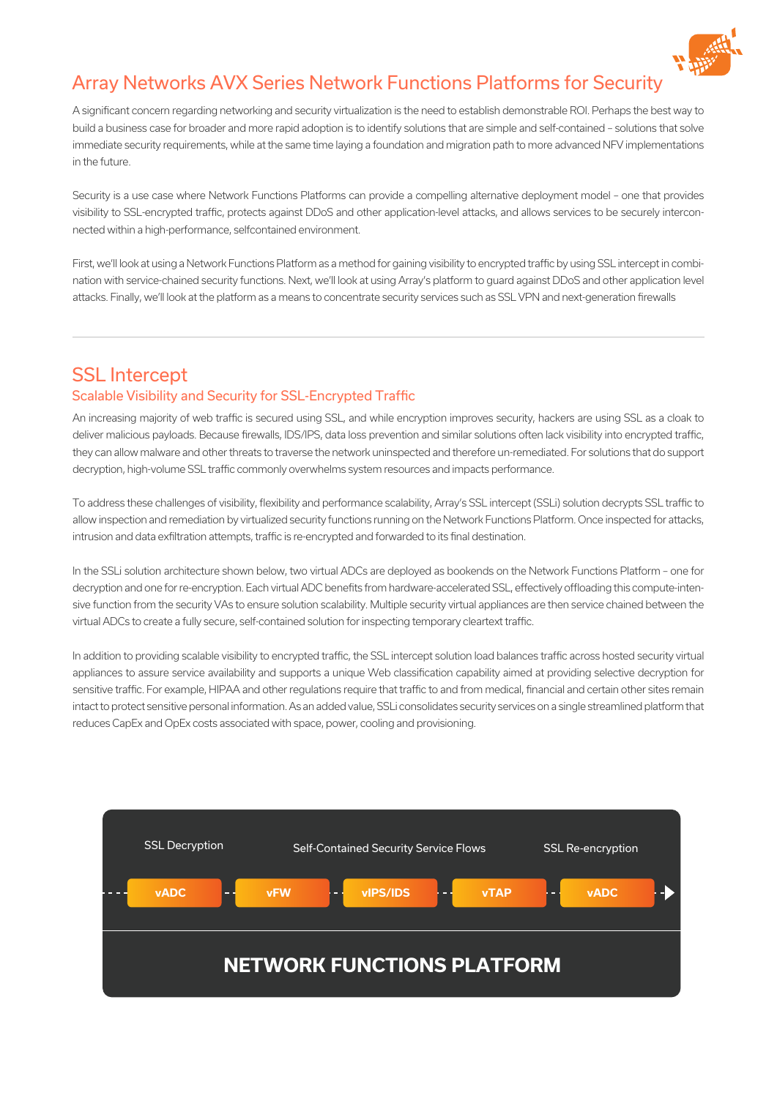

# Array Networks AVX Series Network Functions Platforms for Security

A significant concern regarding networking and security virtualization is the need to establish demonstrable ROI. Perhaps the best way to build a business case for broader and more rapid adoption is to identify solutions that are simple and self-contained – solutions that solve immediate security requirements, while at the same time laying a foundation and migration path to more advanced NFV implementations in the future.

Security is a use case where Network Functions Platforms can provide a compelling alternative deployment model – one that provides visibility to SSL-encrypted traffic, protects against DDoS and other application-level attacks, and allows services to be securely interconnected within a high-performance, selfcontained environment.

First, we'll look at using a Network Functions Platform as a method for gaining visibility to encrypted traffic by using SSL intercept in combination with service-chained security functions. Next, we'll look at using Array's platform to guard against DDoS and other application level attacks. Finally, we'll look at the platform as a means to concentrate security services such as SSL VPN and next-generation firewalls

## SSL Intercept Scalable Visibility and Security for SSL-Encrypted Traffic

An increasing majority of web traffic is secured using SSL, and while encryption improves security, hackers are using SSL as a cloak to deliver malicious payloads. Because firewalls, IDS/IPS, data loss prevention and similar solutions often lack visibility into encrypted traffic, they can allow malware and other threats to traverse the network uninspected and therefore un-remediated. For solutions that do support decryption, high-volume SSL traffic commonly overwhelms system resources and impacts performance.

To address these challenges of visibility, flexibility and performance scalability, Array's SSL intercept (SSLi) solution decrypts SSL traffic to allow inspection and remediation by virtualized security functions running on the Network Functions Platform. Once inspected for attacks, intrusion and data exfiltration attempts, traffic is re-encrypted and forwarded to its final destination.

In the SSLi solution architecture shown below, two virtual ADCs are deployed as bookends on the Network Functions Platform – one for decryption and one for re-encryption. Each virtual ADC benefits from hardware-accelerated SSL, effectively offloading this compute-intensive function from the security VAs to ensure solution scalability. Multiple security virtual appliances are then service chained between the virtual ADCs to create a fully secure, self-contained solution for inspecting temporary cleartext traffic.

In addition to providing scalable visibility to encrypted traffic, the SSL intercept solution load balances traffic across hosted security virtual appliances to assure service availability and supports a unique Web classification capability aimed at providing selective decryption for sensitive traffic. For example, HIPAA and other regulations require that traffic to and from medical, financial and certain other sites remain intact to protect sensitive personal information. As an added value, SSLi consolidates security services on a single streamlined platform that reduces CapEx and OpEx costs associated with space, power, cooling and provisioning.

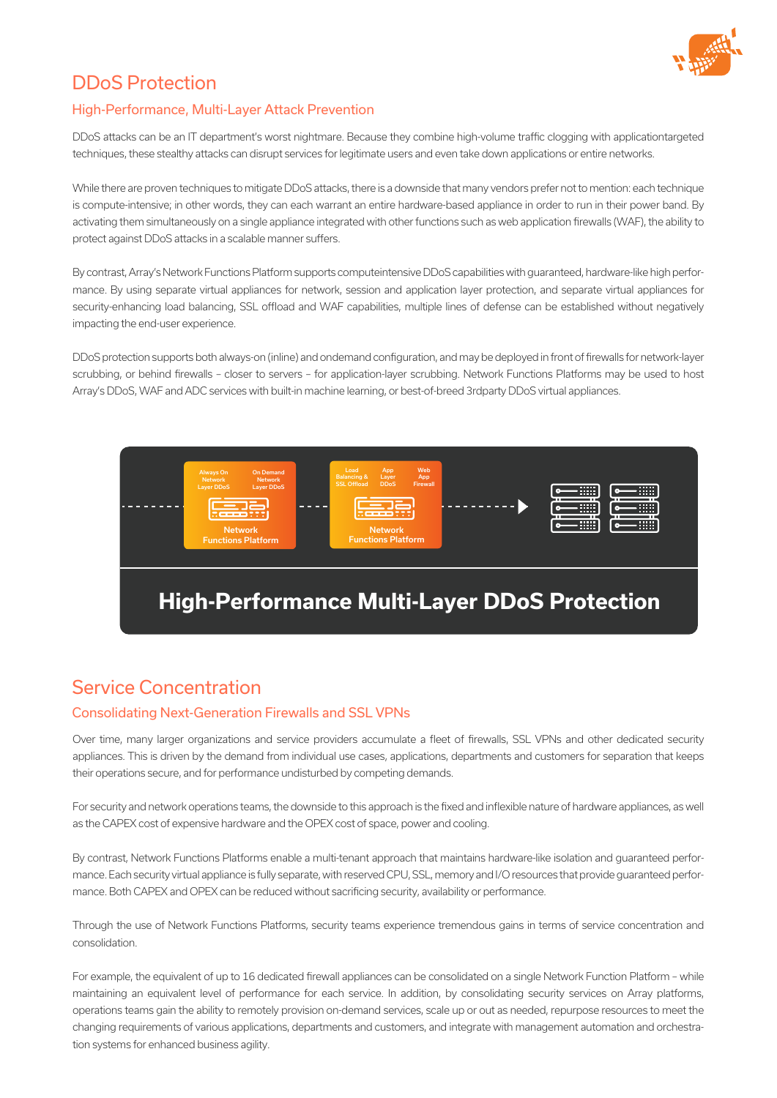

# DDoS Protection

### High-Performance, Multi-Layer Attack Prevention

DDoS attacks can be an IT department's worst nightmare. Because they combine high-volume traffic clogging with applicationtargeted techniques, these stealthy attacks can disrupt services for legitimate users and even take down applications or entire networks.

While there are proven techniques to mitigate DDoS attacks, there is a downside that many vendors prefer not to mention: each technique is compute-intensive; in other words, they can each warrant an entire hardware-based appliance in order to run in their power band. By activating them simultaneously on a single appliance integrated with other functions such as web application firewalls (WAF), the ability to protect against DDoS attacks in a scalable manner suffers.

By contrast, Array's Network Functions Platform supports computeintensive DDoS capabilities with guaranteed, hardware-like high performance. By using separate virtual appliances for network, session and application layer protection, and separate virtual appliances for security-enhancing load balancing, SSL offload and WAF capabilities, multiple lines of defense can be established without negatively impacting the end-user experience.

DDoS protection supports both always-on (inline) and ondemand configuration, and may be deployed in front of firewalls for network-layer scrubbing, or behind firewalls – closer to servers – for application-layer scrubbing. Network Functions Platforms may be used to host Array's DDoS, WAF and ADC services with built-in machine learning, or best-of-breed 3rdparty DDoS virtual appliances.



# Service Concentration

### Consolidating Next-Generation Firewalls and SSL VPNs

Over time, many larger organizations and service providers accumulate a fleet of firewalls, SSL VPNs and other dedicated security appliances. This is driven by the demand from individual use cases, applications, departments and customers for separation that keeps their operations secure, and for performance undisturbed by competing demands.

For security and network operations teams, the downside to this approach is the fixed and inflexible nature of hardware appliances, as well as the CAPEX cost of expensive hardware and the OPEX cost of space, power and cooling.

By contrast, Network Functions Platforms enable a multi-tenant approach that maintains hardware-like isolation and guaranteed performance. Each security virtual appliance is fully separate, with reserved CPU, SSL, memory and I/O resources that provide guaranteed performance. Both CAPEX and OPEX can be reduced without sacrificing security, availability or performance.

Through the use of Network Functions Platforms, security teams experience tremendous gains in terms of service concentration and consolidation.

For example, the equivalent of up to 16 dedicated firewall appliances can be consolidated on a single Network Function Platform – while maintaining an equivalent level of performance for each service. In addition, by consolidating security services on Array platforms, operations teams gain the ability to remotely provision on-demand services, scale up or out as needed, repurpose resources to meet the changing requirements of various applications, departments and customers, and integrate with management automation and orchestration systems for enhanced business agility.